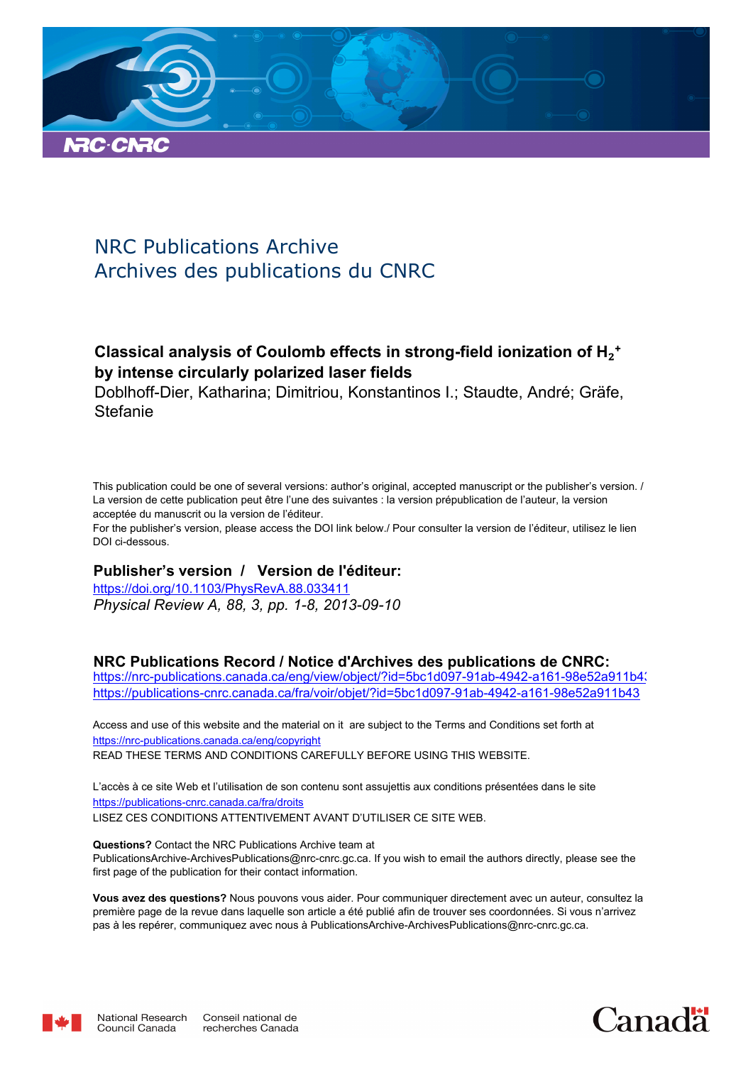

# NRC Publications Archive Archives des publications du CNRC

## **Classical analysis of Coulomb effects in strong-field ionization of H**₂⁺ **by intense circularly polarized laser fields**

Doblhoff-Dier, Katharina; Dimitriou, Konstantinos I.; Staudte, André; Gräfe, Stefanie

This publication could be one of several versions: author's original, accepted manuscript or the publisher's version. / La version de cette publication peut être l'une des suivantes : la version prépublication de l'auteur, la version acceptée du manuscrit ou la version de l'éditeur.

For the publisher's version, please access the DOI link below./ Pour consulter la version de l'éditeur, utilisez le lien DOI ci-dessous.

## **Publisher's version / Version de l'éditeur:**

*Physical Review A, 88, 3, pp. 1-8, 2013-09-10* https://doi.org/10.1103/PhysRevA.88.033411

## **NRC Publications Record / Notice d'Archives des publications de CNRC:**

https://nrc-publications.canada.ca/eng/view/object/?id=5bc1d097-91ab-4942-a161-98e52a911b43 https://publications-cnrc.canada.ca/fra/voir/objet/?id=5bc1d097-91ab-4942-a161-98e52a911b43

READ THESE TERMS AND CONDITIONS CAREFULLY BEFORE USING THIS WEBSITE. https://nrc-publications.canada.ca/eng/copyright Access and use of this website and the material on it are subject to the Terms and Conditions set forth at

https://publications-cnrc.canada.ca/fra/droits L'accès à ce site Web et l'utilisation de son contenu sont assujettis aux conditions présentées dans le site LISEZ CES CONDITIONS ATTENTIVEMENT AVANT D'UTILISER CE SITE WEB.

**Questions?** Contact the NRC Publications Archive team at PublicationsArchive-ArchivesPublications@nrc-cnrc.gc.ca. If you wish to email the authors directly, please see the first page of the publication for their contact information.

**Vous avez des questions?** Nous pouvons vous aider. Pour communiquer directement avec un auteur, consultez la première page de la revue dans laquelle son article a été publié afin de trouver ses coordonnées. Si vous n'arrivez pas à les repérer, communiquez avec nous à PublicationsArchive-ArchivesPublications@nrc-cnrc.gc.ca.



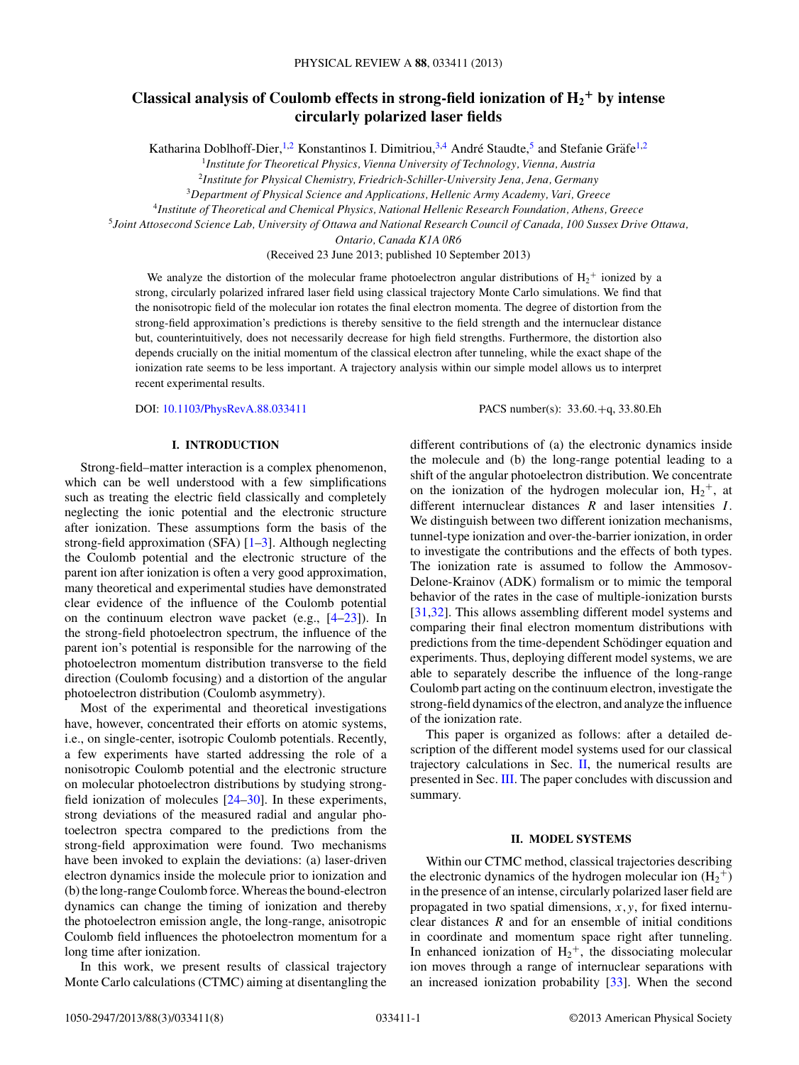## <span id="page-1-0"></span>**Classical analysis of Coulomb effects in strong-field ionization of H<sup>2</sup>** <sup>+</sup> **by intense circularly polarized laser fields**

Katharina Doblhoff-Dier,<sup>1,2</sup> Konstantinos I. Dimitriou,<sup>3,4</sup> André Staudte,<sup>5</sup> and Stefanie Gräfe<sup>1,2</sup>

1 *Institute for Theoretical Physics, Vienna University of Technology, Vienna, Austria*

2 *Institute for Physical Chemistry, Friedrich-Schiller-University Jena, Jena, Germany*

<sup>3</sup>*Department of Physical Science and Applications, Hellenic Army Academy, Vari, Greece*

4 *Institute of Theoretical and Chemical Physics, National Hellenic Research Foundation, Athens, Greece*

5 *Joint Attosecond Science Lab, University of Ottawa and National Research Council of Canada, 100 Sussex Drive Ottawa,*

*Ontario, Canada K1A 0R6*

(Received 23 June 2013; published 10 September 2013)

We analyze the distortion of the molecular frame photoelectron angular distributions of  $H_2^+$  ionized by a strong, circularly polarized infrared laser field using classical trajectory Monte Carlo simulations. We find that the nonisotropic field of the molecular ion rotates the final electron momenta. The degree of distortion from the strong-field approximation's predictions is thereby sensitive to the field strength and the internuclear distance but, counterintuitively, does not necessarily decrease for high field strengths. Furthermore, the distortion also depends crucially on the initial momentum of the classical electron after tunneling, while the exact shape of the ionization rate seems to be less important. A trajectory analysis within our simple model allows us to interpret recent experimental results.

DOI: [10.1103/PhysRevA.88.033411](http://dx.doi.org/10.1103/PhysRevA.88.033411) PACS number(s): 33.60.+q, 33.80.Eh

#### **I. INTRODUCTION**

Strong-field–matter interaction is a complex phenomenon, which can be well understood with a few simplifications such as treating the electric field classically and completely neglecting the ionic potential and the electronic structure after ionization. These assumptions form the basis of the strong-field approximation (SFA)  $[1-3]$ . Although neglecting the Coulomb potential and the electronic structure of the parent ion after ionization is often a very good approximation, many theoretical and experimental studies have demonstrated clear evidence of the influence of the Coulomb potential on the continuum electron wave packet (e.g., [\[4–](#page-7-0)[23\]](#page-8-0)). In the strong-field photoelectron spectrum, the influence of the parent ion's potential is responsible for the narrowing of the photoelectron momentum distribution transverse to the field direction (Coulomb focusing) and a distortion of the angular photoelectron distribution (Coulomb asymmetry).

Most of the experimental and theoretical investigations have, however, concentrated their efforts on atomic systems, i.e., on single-center, isotropic Coulomb potentials. Recently, a few experiments have started addressing the role of a nonisotropic Coulomb potential and the electronic structure on molecular photoelectron distributions by studying strongfield ionization of molecules [\[24–30\]](#page-8-0). In these experiments, strong deviations of the measured radial and angular photoelectron spectra compared to the predictions from the strong-field approximation were found. Two mechanisms have been invoked to explain the deviations: (a) laser-driven electron dynamics inside the molecule prior to ionization and (b) the long-range Coulomb force.Whereas the bound-electron dynamics can change the timing of ionization and thereby the photoelectron emission angle, the long-range, anisotropic Coulomb field influences the photoelectron momentum for a long time after ionization.

In this work, we present results of classical trajectory Monte Carlo calculations (CTMC) aiming at disentangling the different contributions of (a) the electronic dynamics inside the molecule and (b) the long-range potential leading to a shift of the angular photoelectron distribution. We concentrate on the ionization of the hydrogen molecular ion,  $H_2^+$ , at different internuclear distances  $R$  and laser intensities  $I$ . We distinguish between two different ionization mechanisms, tunnel-type ionization and over-the-barrier ionization, in order to investigate the contributions and the effects of both types. The ionization rate is assumed to follow the Ammosov-Delone-Krainov (ADK) formalism or to mimic the temporal behavior of the rates in the case of multiple-ionization bursts [\[31,32\]](#page-8-0). This allows assembling different model systems and comparing their final electron momentum distributions with predictions from the time-dependent Schödinger equation and experiments. Thus, deploying different model systems, we are able to separately describe the influence of the long-range Coulomb part acting on the continuum electron, investigate the strong-field dynamics of the electron, and analyze the influence of the ionization rate.

This paper is organized as follows: after a detailed description of the different model systems used for our classical trajectory calculations in Sec. II, the numerical results are presented in Sec. [III.](#page-3-0) The paper concludes with discussion and summary.

#### **II. MODEL SYSTEMS**

Within our CTMC method, classical trajectories describing the electronic dynamics of the hydrogen molecular ion  $(H_2^+)$ in the presence of an intense, circularly polarized laser field are propagated in two spatial dimensions,  $x, y$ , for fixed internuclear distances  $R$  and for an ensemble of initial conditions in coordinate and momentum space right after tunneling. In enhanced ionization of  $H_2^+$ , the dissociating molecular ion moves through a range of internuclear separations with an increased ionization probability [\[33\]](#page-8-0). When the second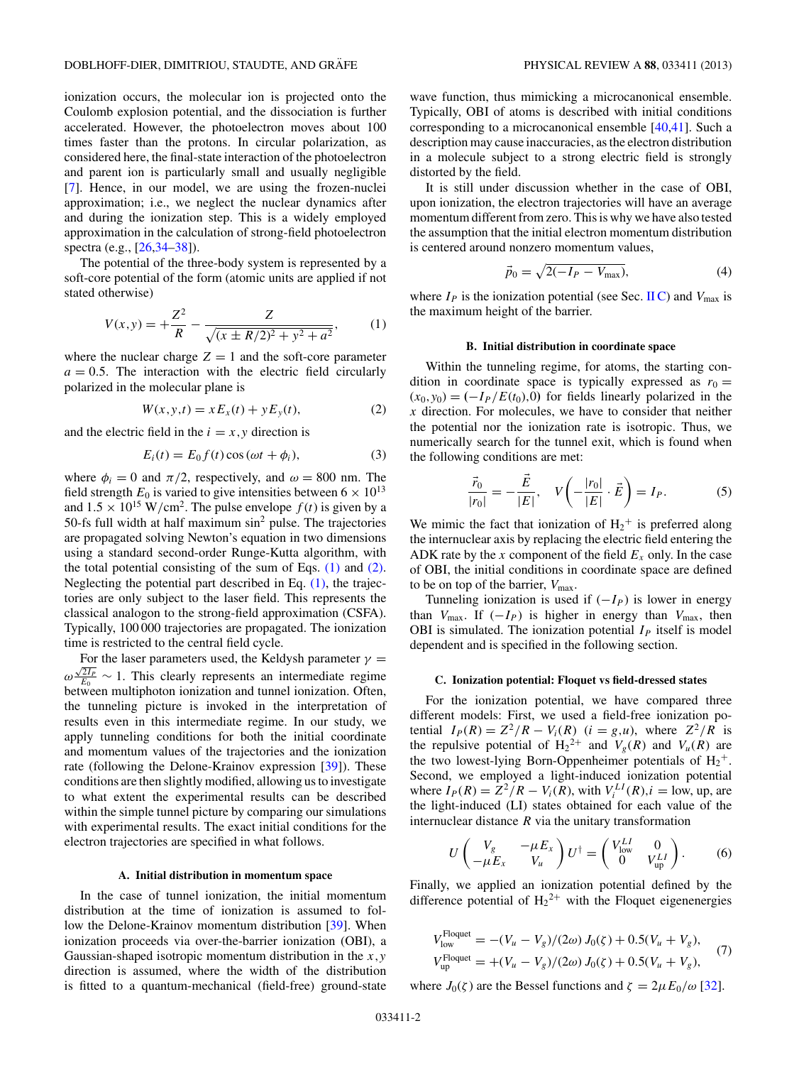<span id="page-2-0"></span>ionization occurs, the molecular ion is projected onto the Coulomb explosion potential, and the dissociation is further accelerated. However, the photoelectron moves about 100 times faster than the protons. In circular polarization, as considered here, the final-state interaction of the photoelectron and parent ion is particularly small and usually negligible [\[7\]](#page-8-0). Hence, in our model, we are using the frozen-nuclei approximation; i.e., we neglect the nuclear dynamics after and during the ionization step. This is a widely employed approximation in the calculation of strong-field photoelectron spectra (e.g., [\[26,34–38\]](#page-8-0)).

The potential of the three-body system is represented by a soft-core potential of the form (atomic units are applied if not stated otherwise)

$$
V(x,y) = +\frac{Z^2}{R} - \frac{Z}{\sqrt{(x \pm R/2)^2 + y^2 + a^2}},
$$
 (1)

where the nuclear charge  $Z = 1$  and the soft-core parameter  $a = 0.5$ . The interaction with the electric field circularly polarized in the molecular plane is

$$
W(x, y, t) = x E_x(t) + y E_y(t), \qquad (2)
$$

and the electric field in the  $i = x, y$  direction is

$$
E_i(t) = E_0 f(t) \cos(\omega t + \phi_i), \tag{3}
$$

where  $\phi_i = 0$  and  $\pi/2$ , respectively, and  $\omega = 800$  nm. The field strength  $E_0$  is varied to give intensities between  $6 \times 10^{13}$ and  $1.5 \times 10^{15}$  W/cm<sup>2</sup>. The pulse envelope  $f(t)$  is given by a 50-fs full width at half maximum  $\sin^2$  pulse. The trajectories are propagated solving Newton's equation in two dimensions using a standard second-order Runge-Kutta algorithm, with the total potential consisting of the sum of Eqs.  $(1)$  and  $(2)$ . Neglecting the potential part described in Eq.  $(1)$ , the trajectories are only subject to the laser field. This represents the classical analogon to the strong-field approximation (CSFA). Typically, 100 000 trajectories are propagated. The ionization time is restricted to the central field cycle.

For the laser parameters used, the Keldysh parameter  $\gamma$  =  $\omega \frac{\sqrt{2I_F}}{F_0}$  $\frac{ZI_P}{E_0} \sim 1$ . This clearly represents an intermediate regime between multiphoton ionization and tunnel ionization. Often, the tunneling picture is invoked in the interpretation of results even in this intermediate regime. In our study, we apply tunneling conditions for both the initial coordinate and momentum values of the trajectories and the ionization rate (following the Delone-Krainov expression [\[39\]](#page-8-0)). These conditions are then slightly modified, allowing us to investigate to what extent the experimental results can be described within the simple tunnel picture by comparing our simulations with experimental results. The exact initial conditions for the electron trajectories are specified in what follows.

#### **A. Initial distribution in momentum space**

In the case of tunnel ionization, the initial momentum distribution at the time of ionization is assumed to follow the Delone-Krainov momentum distribution [\[39\]](#page-8-0). When ionization proceeds via over-the-barrier ionization (OBI), a Gaussian-shaped isotropic momentum distribution in the  $x, y$ direction is assumed, where the width of the distribution is fitted to a quantum-mechanical (field-free) ground-state wave function, thus mimicking a microcanonical ensemble. Typically, OBI of atoms is described with initial conditions corresponding to a microcanonical ensemble [\[40,41\]](#page-8-0). Such a description may cause inaccuracies, as the electron distribution in a molecule subject to a strong electric field is strongly distorted by the field.

It is still under discussion whether in the case of OBI, upon ionization, the electron trajectories will have an average momentum different from zero. This is why we have also tested the assumption that the initial electron momentum distribution is centered around nonzero momentum values,

$$
\vec{p}_0 = \sqrt{2(-I_P - V_{\text{max}})},\tag{4}
$$

where  $I_P$  is the ionization potential (see Sec. II C) and  $V_{\text{max}}$  is the maximum height of the barrier.

#### **B. Initial distribution in coordinate space**

Within the tunneling regime, for atoms, the starting condition in coordinate space is typically expressed as  $r_0 =$  $(x_0, y_0) = \frac{-I_P}{E(t_0)}$ ,0) for fields linearly polarized in the  $x$  direction. For molecules, we have to consider that neither the potential nor the ionization rate is isotropic. Thus, we numerically search for the tunnel exit, which is found when the following conditions are met:

$$
\frac{\vec{r}_0}{|r_0|} = -\frac{E}{|E|}, \quad V\left(-\frac{|r_0|}{|E|} \cdot \vec{E}\right) = I_P. \tag{5}
$$

We mimic the fact that ionization of  $H_2^+$  is preferred along the internuclear axis by replacing the electric field entering the ADK rate by the x component of the field  $E_x$  only. In the case of OBI, the initial conditions in coordinate space are defined to be on top of the barrier,  $V_{\text{max}}$ .

Tunneling ionization is used if  $(-I_P)$  is lower in energy than  $V_{\text{max}}$ . If  $(-I_P)$  is higher in energy than  $V_{\text{max}}$ , then OBI is simulated. The ionization potential  $I<sub>P</sub>$  itself is model dependent and is specified in the following section.

#### **C. Ionization potential: Floquet vs field-dressed states**

For the ionization potential, we have compared three different models: First, we used a field-free ionization potential  $I_P(R) = Z^2/R - V_i(R)$   $(i = g,u)$ , where  $Z^2/R$  is the repulsive potential of  $H_2^{2+}$  and  $V_g(R)$  and  $V_u(R)$  are the two lowest-lying Born-Oppenheimer potentials of  $H_2^+$ . Second, we employed a light-induced ionization potential where  $I_P(R) = Z^2/R - V_i(R)$ , with  $V_i^{LI}(R), i =$  low, up, are the light-induced (LI) states obtained for each value of the internuclear distance  $R$  via the unitary transformation

$$
U\begin{pmatrix} V_g & -\mu E_x \\ -\mu E_x & V_u \end{pmatrix} U^{\dagger} = \begin{pmatrix} V_{\text{low}}^{LI} & 0 \\ 0 & V_{\text{up}}^{LI} \end{pmatrix}.
$$
 (6)

Finally, we applied an ionization potential defined by the difference potential of  $H_2^{2+}$  with the Floquet eigenenergies

$$
V_{\text{low}}^{\text{Floquet}} = -(V_u - V_g)/(2\omega) J_0(\zeta) + 0.5(V_u + V_g),
$$
  
\n
$$
V_{\text{up}}^{\text{Floquet}} = +(V_u - V_g)/(2\omega) J_0(\zeta) + 0.5(V_u + V_g),
$$
 (7)

where  $J_0(\zeta)$  are the Bessel functions and  $\zeta = 2\mu E_0/\omega$  [\[32\]](#page-8-0).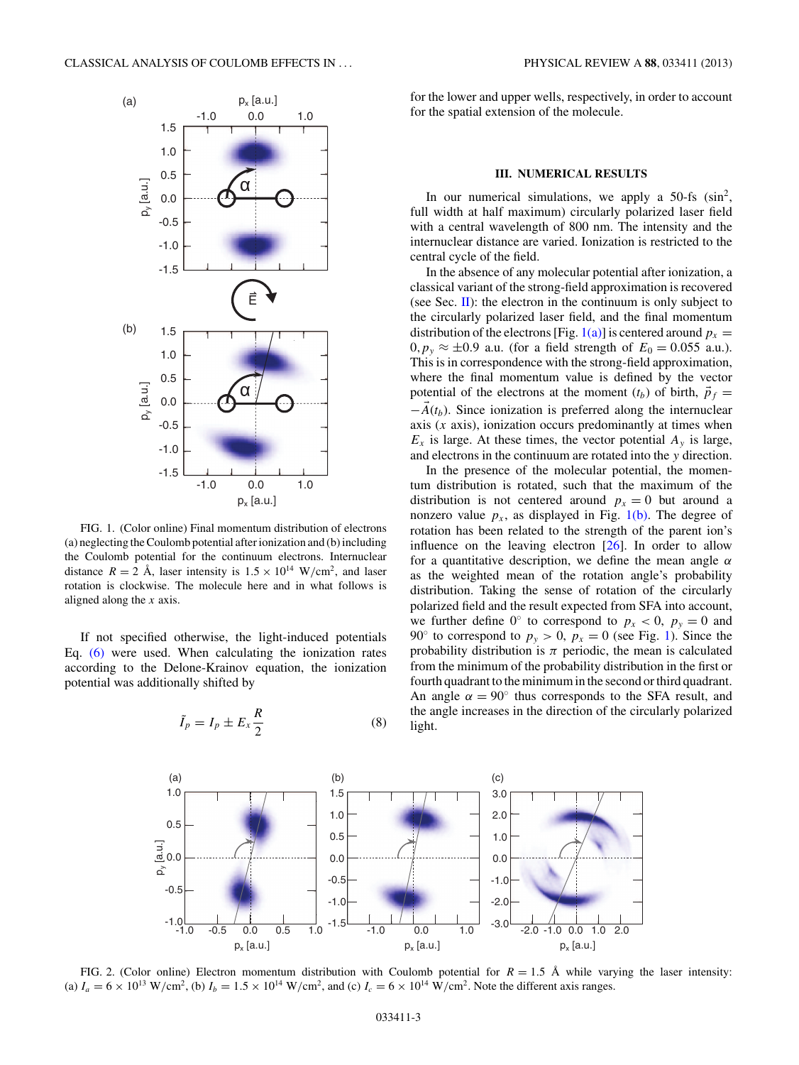<span id="page-3-0"></span>

FIG. 1. (Color online) Final momentum distribution of electrons (a) neglecting the Coulomb potential after ionization and (b) including the Coulomb potential for the continuum electrons. Internuclear distance  $R = 2 \text{ Å}$ , laser intensity is  $1.5 \times 10^{14} \text{ W/cm}^2$ , and laser rotation is clockwise. The molecule here and in what follows is aligned along the  $x$  axis.

If not specified otherwise, the light-induced potentials Eq. [\(6\)](#page-2-0) were used. When calculating the ionization rates according to the Delone-Krainov equation, the ionization potential was additionally shifted by

$$
\tilde{I}_p = I_p \pm E_x \frac{R}{2} \tag{8}
$$

for the lower and upper wells, respectively, in order to account for the spatial extension of the molecule.

#### **III. NUMERICAL RESULTS**

In our numerical simulations, we apply a 50-fs  $(\sin^2)$ , full width at half maximum) circularly polarized laser field with a central wavelength of 800 nm. The intensity and the internuclear distance are varied. Ionization is restricted to the central cycle of the field.

In the absence of any molecular potential after ionization, a classical variant of the strong-field approximation is recovered (see Sec.  $\mathbf{II}$ ): the electron in the continuum is only subject to the circularly polarized laser field, and the final momentum distribution of the electrons [Fig. 1(a)] is centered around  $p_x =$  $0, p_y \approx \pm 0.9$  a.u. (for a field strength of  $E_0 = 0.055$  a.u.). This is in correspondence with the strong-field approximation, where the final momentum value is defined by the vector potential of the electrons at the moment  $(t_b)$  of birth,  $\vec{p}_f$  =  $-\tilde{A}(t_b)$ . Since ionization is preferred along the internuclear axis  $(x \text{ axis})$ , ionization occurs predominantly at times when  $E_x$  is large. At these times, the vector potential  $A_y$  is large, and electrons in the continuum are rotated into the y direction.

In the presence of the molecular potential, the momentum distribution is rotated, such that the maximum of the distribution is not centered around  $p_x = 0$  but around a nonzero value  $p_x$ , as displayed in Fig. 1(b). The degree of rotation has been related to the strength of the parent ion's influence on the leaving electron  $[26]$ . In order to allow for a quantitative description, we define the mean angle  $\alpha$ as the weighted mean of the rotation angle's probability distribution. Taking the sense of rotation of the circularly polarized field and the result expected from SFA into account, we further define  $0°$  to correspond to  $p_x < 0$ ,  $p_y = 0$  and 90 $\degree$  to correspond to  $p_y > 0$ ,  $p_x = 0$  (see Fig. 1). Since the probability distribution is  $\pi$  periodic, the mean is calculated from the minimum of the probability distribution in the first or fourth quadrant to the minimum in the second or third quadrant. An angle  $\alpha = 90^\circ$  thus corresponds to the SFA result, and the angle increases in the direction of the circularly polarized light.



FIG. 2. (Color online) Electron momentum distribution with Coulomb potential for  $R = 1.5$  Å while varying the laser intensity: (a)  $I_a = 6 \times 10^{13} \text{ W/cm}^2$ , (b)  $I_b = 1.5 \times 10^{14} \text{ W/cm}^2$ , and (c)  $I_c = 6 \times 10^{14} \text{ W/cm}^2$ . Note the different axis ranges.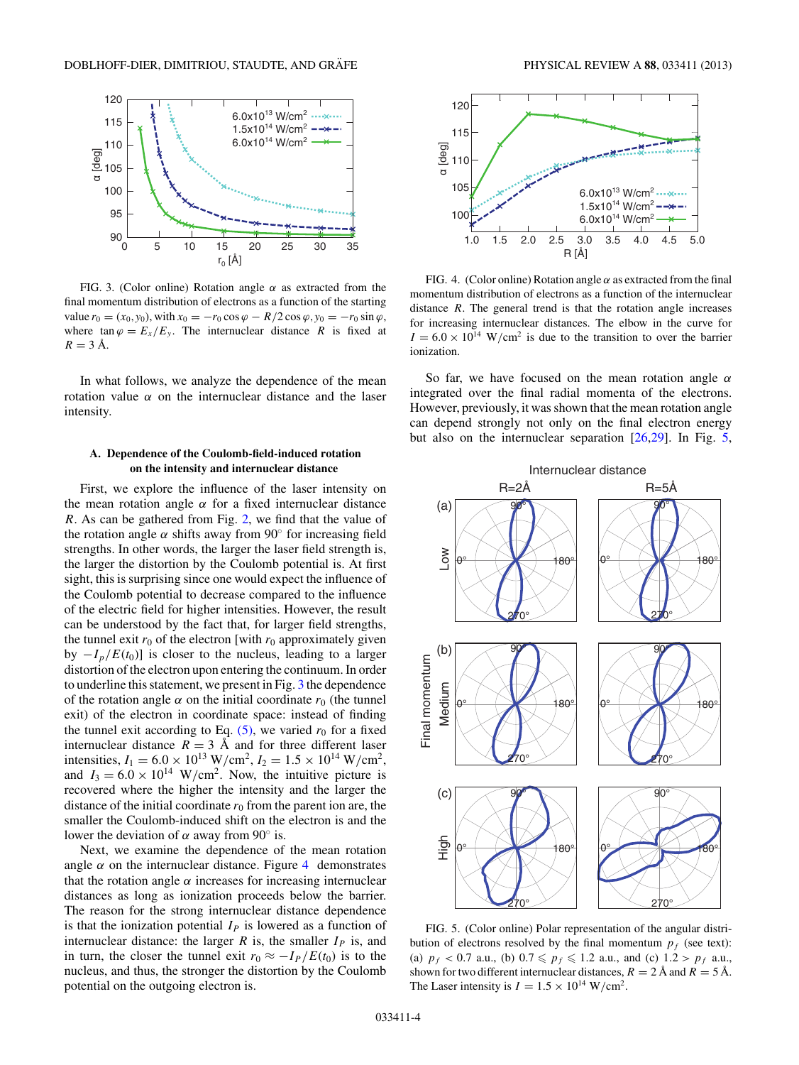<span id="page-4-0"></span>

FIG. 3. (Color online) Rotation angle  $\alpha$  as extracted from the final momentum distribution of electrons as a function of the starting value  $r_0 = (x_0, y_0)$ , with  $x_0 = -r_0 \cos \varphi - R/2 \cos \varphi$ ,  $y_0 = -r_0 \sin \varphi$ , where  $\tan \varphi = E_x/E_y$ . The internuclear distance R is fixed at  $R = 3 \text{ Å}.$ 

In what follows, we analyze the dependence of the mean rotation value  $\alpha$  on the internuclear distance and the laser intensity.

#### **A. Dependence of the Coulomb-field-induced rotation on the intensity and internuclear distance**

First, we explore the influence of the laser intensity on the mean rotation angle  $\alpha$  for a fixed internuclear distance R. As can be gathered from Fig. [2,](#page-3-0) we find that the value of the rotation angle  $\alpha$  shifts away from 90 $\degree$  for increasing field strengths. In other words, the larger the laser field strength is, the larger the distortion by the Coulomb potential is. At first sight, this is surprising since one would expect the influence of the Coulomb potential to decrease compared to the influence of the electric field for higher intensities. However, the result can be understood by the fact that, for larger field strengths, the tunnel exit  $r_0$  of the electron [with  $r_0$  approximately given by  $-I_p/E(t_0)$ ] is closer to the nucleus, leading to a larger distortion of the electron upon entering the continuum. In order to underline this statement, we present in Fig. 3 the dependence of the rotation angle  $\alpha$  on the initial coordinate  $r_0$  (the tunnel exit) of the electron in coordinate space: instead of finding the tunnel exit according to Eq.  $(5)$ , we varied  $r_0$  for a fixed internuclear distance  $R = 3 \text{ Å}$  and for three different laser intensities,  $I_1 = 6.0 \times 10^{13} \text{ W/cm}^2$ ,  $I_2 = 1.5 \times 10^{14} \text{ W/cm}^2$ , and  $I_3 = 6.0 \times 10^{14}$  W/cm<sup>2</sup>. Now, the intuitive picture is recovered where the higher the intensity and the larger the distance of the initial coordinate  $r_0$  from the parent ion are, the smaller the Coulomb-induced shift on the electron is and the lower the deviation of  $\alpha$  away from 90 $\degree$  is.

Next, we examine the dependence of the mean rotation angle  $\alpha$  on the internuclear distance. Figure 4 demonstrates that the rotation angle  $\alpha$  increases for increasing internuclear distances as long as ionization proceeds below the barrier. The reason for the strong internuclear distance dependence is that the ionization potential  $I<sub>P</sub>$  is lowered as a function of internuclear distance: the larger  $R$  is, the smaller  $I<sub>P</sub>$  is, and in turn, the closer the tunnel exit  $r_0 \approx -I_P /E(t_0)$  is to the nucleus, and thus, the stronger the distortion by the Coulomb potential on the outgoing electron is.



FIG. 4. (Color online) Rotation angle  $\alpha$  as extracted from the final momentum distribution of electrons as a function of the internuclear distance  $R$ . The general trend is that the rotation angle increases for increasing internuclear distances. The elbow in the curve for  $I = 6.0 \times 10^{14}$  W/cm<sup>2</sup> is due to the transition to over the barrier ionization.

So far, we have focused on the mean rotation angle  $\alpha$ integrated over the final radial momenta of the electrons. However, previously, it was shown that the mean rotation angle can depend strongly not only on the final electron energy but also on the internuclear separation  $[26,29]$ . In Fig. 5,



FIG. 5. (Color online) Polar representation of the angular distribution of electrons resolved by the final momentum  $p_f$  (see text): (a)  $p_f < 0.7$  a.u., (b)  $0.7 \leqslant p_f \leqslant 1.2$  a.u., and (c)  $1.2 > p_f$  a.u., shown for two different internuclear distances,  $R = 2 \text{ Å}$  and  $R = 5 \text{ Å}$ . The Laser intensity is  $I = 1.5 \times 10^{14} \text{ W/cm}^2$ .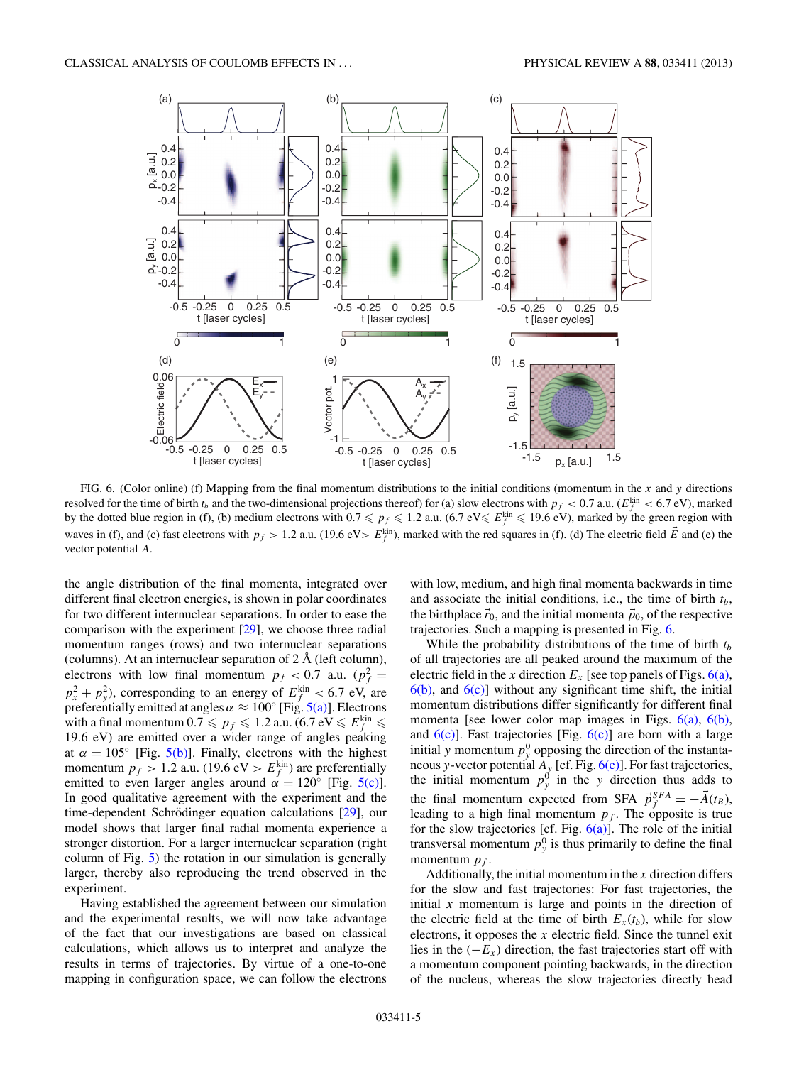

FIG. 6. (Color online) (f) Mapping from the final momentum distributions to the initial conditions (momentum in the x and y directions resolved for the time of birth  $t_b$  and the two-dimensional projections thereof) for (a) slow electrons with  $p_f < 0.7$  a.u. ( $E_f^{\text{kin}} < 6.7$  eV), marked by the dotted blue region in (f), (b) medium electrons with  $0.7 \leq p_f \leq 1.2$  a.u. (6.7 eV $\leq E_f^{\text{kin}} \leq 19.6$  eV), marked by the green region with waves in (f), and (c) fast electrons with  $p_f > 1.2$  a.u. (19.6 eV $> E_f^{\text{kin}}$ ), marked with the red squares in (f). (d) The electric field  $\vec{E}$  and (e) the vector potential A.

the angle distribution of the final momenta, integrated over different final electron energies, is shown in polar coordinates for two different internuclear separations. In order to ease the comparison with the experiment [\[29\]](#page-8-0), we choose three radial momentum ranges (rows) and two internuclear separations (columns). At an internuclear separation of  $2 \text{ Å}$  (left column), electrons with low final momentum  $p_f < 0.7$  a.u.  $(p_f^2 =$  $p_x^2 + p_y^2$ , corresponding to an energy of  $E_f^{\text{kin}} < 6.7 \text{ eV}$ , are preferentially emitted at angles  $\alpha \approx 100^{\circ}$  [Fig. [5\(a\)\]](#page-4-0). Electrons with a final momentum 0.7  $\leqslant p_f \leqslant 1.2$  a.u. (6.7 eV  $\leqslant E_f^{\rm kin} \leqslant$ 19.6 eV) are emitted over a wider range of angles peaking at  $\alpha = 105^{\circ}$  [Fig. [5\(b\)\]](#page-4-0). Finally, electrons with the highest momentum  $p_f > 1.2$  a.u. (19.6 eV  $>E_f^{\text{kin}}$ ) are preferentially emitted to even larger angles around  $\alpha = 120^\circ$  [Fig. [5\(c\)\]](#page-4-0). In good qualitative agreement with the experiment and the time-dependent Schrödinger equation calculations  $[29]$  $[29]$ , our model shows that larger final radial momenta experience a stronger distortion. For a larger internuclear separation (right column of Fig. [5\)](#page-4-0) the rotation in our simulation is generally larger, thereby also reproducing the trend observed in the experiment.

Having established the agreement between our simulation and the experimental results, we will now take advantage of the fact that our investigations are based on classical calculations, which allows us to interpret and analyze the results in terms of trajectories. By virtue of a one-to-one mapping in configuration space, we can follow the electrons

with low, medium, and high final momenta backwards in time and associate the initial conditions, i.e., the time of birth  $t<sub>b</sub>$ , the birthplace  $\vec{r}_0$ , and the initial momenta  $\vec{p}_0$ , of the respective trajectories. Such a mapping is presented in Fig. 6.

While the probability distributions of the time of birth  $t_b$ of all trajectories are all peaked around the maximum of the electric field in the x direction  $E_x$  [see top panels of Figs. 6(a),  $6(b)$ , and  $6(c)$ ] without any significant time shift, the initial momentum distributions differ significantly for different final momenta [see lower color map images in Figs.  $6(a)$ ,  $6(b)$ , and  $6(c)$ ]. Fast trajectories [Fig.  $6(c)$ ] are born with a large initial y momentum  $p_y^0$  opposing the direction of the instantaneous y-vector potential  $A_y$  [cf. Fig. 6(e)]. For fast trajectories, the initial momentum  $p_y^0$  in the y direction thus adds to the final momentum expected from SFA  $\vec{p}_f^{SFA} = -\vec{A}(t_B)$ , leading to a high final momentum  $p_f$ . The opposite is true for the slow trajectories [cf. Fig.  $6(a)$ ]. The role of the initial transversal momentum  $p_y^0$  is thus primarily to define the final momentum  $p_f$ .

Additionally, the initial momentum in the  $x$  direction differs for the slow and fast trajectories: For fast trajectories, the initial  $x$  momentum is large and points in the direction of the electric field at the time of birth  $E_x(t_b)$ , while for slow electrons, it opposes the  $x$  electric field. Since the tunnel exit lies in the  $(-E_x)$  direction, the fast trajectories start off with a momentum component pointing backwards, in the direction of the nucleus, whereas the slow trajectories directly head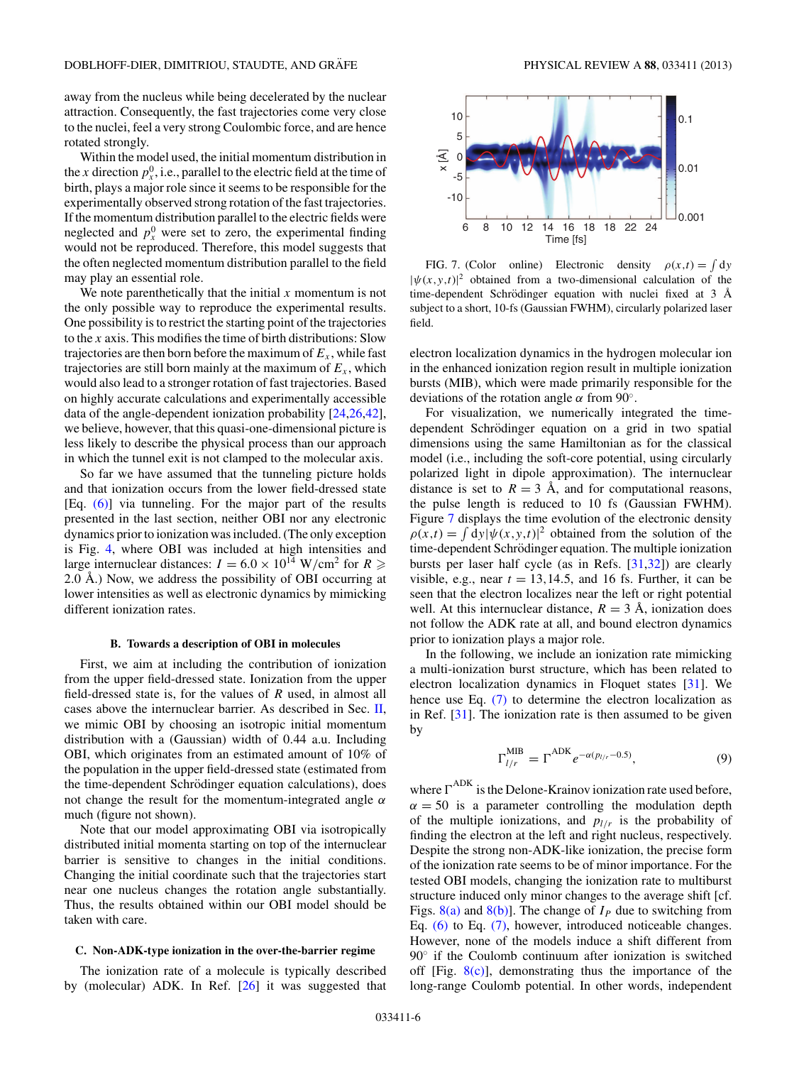away from the nucleus while being decelerated by the nuclear attraction. Consequently, the fast trajectories come very close to the nuclei, feel a very strong Coulombic force, and are hence rotated strongly.

Within the model used, the initial momentum distribution in the x direction  $p_x^0$ , i.e., parallel to the electric field at the time of birth, plays a major role since it seems to be responsible for the experimentally observed strong rotation of the fast trajectories. If the momentum distribution parallel to the electric fields were neglected and  $p_x^0$  were set to zero, the experimental finding would not be reproduced. Therefore, this model suggests that the often neglected momentum distribution parallel to the field may play an essential role.

We note parenthetically that the initial  $x$  momentum is not the only possible way to reproduce the experimental results. One possibility is to restrict the starting point of the trajectories to the  $x$  axis. This modifies the time of birth distributions: Slow trajectories are then born before the maximum of  $E<sub>x</sub>$ , while fast trajectories are still born mainly at the maximum of  $E<sub>x</sub>$ , which would also lead to a stronger rotation of fast trajectories. Based on highly accurate calculations and experimentally accessible data of the angle-dependent ionization probability [\[24,26,42\]](#page-8-0), we believe, however, that this quasi-one-dimensional picture is less likely to describe the physical process than our approach in which the tunnel exit is not clamped to the molecular axis.

So far we have assumed that the tunneling picture holds and that ionization occurs from the lower field-dressed state [Eq. [\(6\)\]](#page-2-0) via tunneling. For the major part of the results presented in the last section, neither OBI nor any electronic dynamics prior to ionization was included. (The only exception is Fig. [4,](#page-4-0) where OBI was included at high intensities and large internuclear distances:  $I = 6.0 \times 10^{14} \text{ W/cm}^2$  for  $R \ge 0$ 2.0 Å.) Now, we address the possibility of OBI occurring at lower intensities as well as electronic dynamics by mimicking different ionization rates.

#### **B. Towards a description of OBI in molecules**

First, we aim at including the contribution of ionization from the upper field-dressed state. Ionization from the upper field-dressed state is, for the values of  $R$  used, in almost all cases above the internuclear barrier. As described in Sec. [II,](#page-1-0) we mimic OBI by choosing an isotropic initial momentum distribution with a (Gaussian) width of 0.44 a.u. Including OBI, which originates from an estimated amount of 10% of the population in the upper field-dressed state (estimated from the time-dependent Schrödinger equation calculations), does not change the result for the momentum-integrated angle  $\alpha$ much (figure not shown).

Note that our model approximating OBI via isotropically distributed initial momenta starting on top of the internuclear barrier is sensitive to changes in the initial conditions. Changing the initial coordinate such that the trajectories start near one nucleus changes the rotation angle substantially. Thus, the results obtained within our OBI model should be taken with care.

#### **C. Non-ADK-type ionization in the over-the-barrier regime**

The ionization rate of a molecule is typically described by (molecular) ADK. In Ref. [\[26\]](#page-8-0) it was suggested that



FIG. 7. (Color online) Electronic density  $\rho(x,t) = \int dy$  $|\psi(x, y, t)|^2$  obtained from a two-dimensional calculation of the time-dependent Schrödinger equation with nuclei fixed at  $3\text{ Å}$ subject to a short, 10-fs (Gaussian FWHM), circularly polarized laser field.

electron localization dynamics in the hydrogen molecular ion in the enhanced ionization region result in multiple ionization bursts (MIB), which were made primarily responsible for the deviations of the rotation angle  $\alpha$  from 90°.

For visualization, we numerically integrated the timedependent Schrödinger equation on a grid in two spatial dimensions using the same Hamiltonian as for the classical model (i.e., including the soft-core potential, using circularly polarized light in dipole approximation). The internuclear distance is set to  $R = 3$  Å, and for computational reasons, the pulse length is reduced to 10 fs (Gaussian FWHM). Figure 7 displays the time evolution of the electronic density  $\rho(x,t) = \int dy |\psi(x,y,t)|^2$  obtained from the solution of the time-dependent Schrödinger equation. The multiple ionization bursts per laser half cycle (as in Refs. [\[31,32\]](#page-8-0)) are clearly visible, e.g., near  $t = 13,14.5$ , and 16 fs. Further, it can be seen that the electron localizes near the left or right potential well. At this internuclear distance,  $R = 3 \text{ Å}$ , ionization does not follow the ADK rate at all, and bound electron dynamics prior to ionization plays a major role.

In the following, we include an ionization rate mimicking a multi-ionization burst structure, which has been related to electron localization dynamics in Floquet states [\[31\]](#page-8-0). We hence use Eq. [\(7\)](#page-2-0) to determine the electron localization as in Ref. [\[31\]](#page-8-0). The ionization rate is then assumed to be given by

$$
\Gamma_{l/r}^{\text{MIB}} = \Gamma^{\text{ADK}} e^{-\alpha (p_{l/r} - 0.5)},\tag{9}
$$

where  $\Gamma^{ADK}$  is the Delone-Krainov ionization rate used before,  $\alpha = 50$  is a parameter controlling the modulation depth of the multiple ionizations, and  $p_{l/r}$  is the probability of finding the electron at the left and right nucleus, respectively. Despite the strong non-ADK-like ionization, the precise form of the ionization rate seems to be of minor importance. For the tested OBI models, changing the ionization rate to multiburst structure induced only minor changes to the average shift [cf. Figs.  $8(a)$  and  $8(b)$ ]. The change of  $I_P$  due to switching from Eq. [\(6\)](#page-2-0) to Eq. [\(7\),](#page-2-0) however, introduced noticeable changes. However, none of the models induce a shift different from 90◦ if the Coulomb continuum after ionization is switched off  $[Fig. 8(c)]$  $[Fig. 8(c)]$ , demonstrating thus the importance of the long-range Coulomb potential. In other words, independent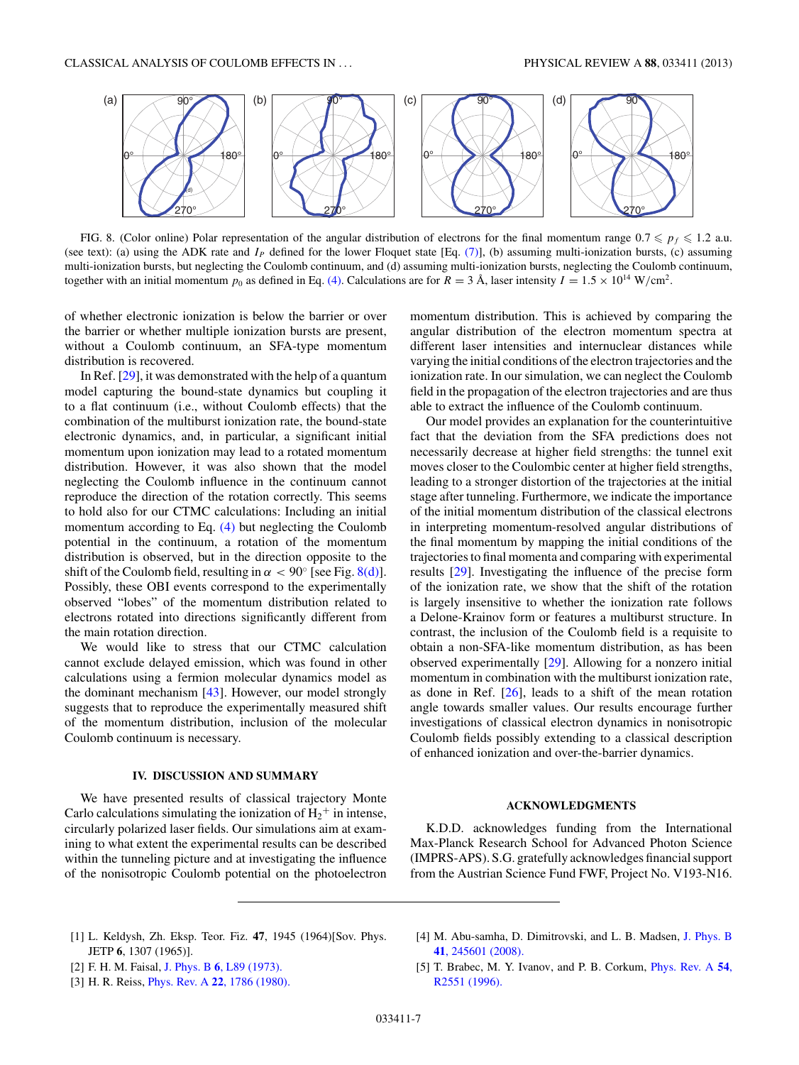<span id="page-7-0"></span>

FIG. 8. (Color online) Polar representation of the angular distribution of electrons for the final momentum range  $0.7 \leq p_f \leq 1.2$  a.u. (see text): (a) using the ADK rate and  $I<sub>P</sub>$  defined for the lower Floquet state [Eq. [\(7\)\]](#page-2-0), (b) assuming multi-ionization bursts, (c) assuming multi-ionization bursts, but neglecting the Coulomb continuum, and (d) assuming multi-ionization bursts, neglecting the Coulomb continuum, together with an initial momentum  $p_0$  as defined in Eq. [\(4\).](#page-2-0) Calculations are for  $R = 3 \text{ Å}$ , laser intensity  $I = 1.5 \times 10^{14} \text{ W/cm}^2$ .

of whether electronic ionization is below the barrier or over the barrier or whether multiple ionization bursts are present, without a Coulomb continuum, an SFA-type momentum distribution is recovered.

In Ref. [\[29\]](#page-8-0), it was demonstrated with the help of a quantum model capturing the bound-state dynamics but coupling it to a flat continuum (i.e., without Coulomb effects) that the combination of the multiburst ionization rate, the bound-state electronic dynamics, and, in particular, a significant initial momentum upon ionization may lead to a rotated momentum distribution. However, it was also shown that the model neglecting the Coulomb influence in the continuum cannot reproduce the direction of the rotation correctly. This seems to hold also for our CTMC calculations: Including an initial momentum according to Eq. [\(4\)](#page-2-0) but neglecting the Coulomb potential in the continuum, a rotation of the momentum distribution is observed, but in the direction opposite to the shift of the Coulomb field, resulting in  $\alpha < 90^\circ$  [see Fig. 8(d)]. Possibly, these OBI events correspond to the experimentally observed "lobes" of the momentum distribution related to electrons rotated into directions significantly different from the main rotation direction.

We would like to stress that our CTMC calculation cannot exclude delayed emission, which was found in other calculations using a fermion molecular dynamics model as the dominant mechanism [\[43\]](#page-8-0). However, our model strongly suggests that to reproduce the experimentally measured shift of the momentum distribution, inclusion of the molecular Coulomb continuum is necessary.

#### **IV. DISCUSSION AND SUMMARY**

We have presented results of classical trajectory Monte Carlo calculations simulating the ionization of  $H_2^+$  in intense, circularly polarized laser fields. Our simulations aim at examining to what extent the experimental results can be described within the tunneling picture and at investigating the influence of the nonisotropic Coulomb potential on the photoelectron

momentum distribution. This is achieved by comparing the angular distribution of the electron momentum spectra at different laser intensities and internuclear distances while varying the initial conditions of the electron trajectories and the ionization rate. In our simulation, we can neglect the Coulomb field in the propagation of the electron trajectories and are thus able to extract the influence of the Coulomb continuum.

Our model provides an explanation for the counterintuitive fact that the deviation from the SFA predictions does not necessarily decrease at higher field strengths: the tunnel exit moves closer to the Coulombic center at higher field strengths, leading to a stronger distortion of the trajectories at the initial stage after tunneling. Furthermore, we indicate the importance of the initial momentum distribution of the classical electrons in interpreting momentum-resolved angular distributions of the final momentum by mapping the initial conditions of the trajectories to final momenta and comparing with experimental results [\[29\]](#page-8-0). Investigating the influence of the precise form of the ionization rate, we show that the shift of the rotation is largely insensitive to whether the ionization rate follows a Delone-Krainov form or features a multiburst structure. In contrast, the inclusion of the Coulomb field is a requisite to obtain a non-SFA-like momentum distribution, as has been observed experimentally [\[29\]](#page-8-0). Allowing for a nonzero initial momentum in combination with the multiburst ionization rate, as done in Ref. [\[26\]](#page-8-0), leads to a shift of the mean rotation angle towards smaller values. Our results encourage further investigations of classical electron dynamics in nonisotropic Coulomb fields possibly extending to a classical description of enhanced ionization and over-the-barrier dynamics.

#### **ACKNOWLEDGMENTS**

K.D.D. acknowledges funding from the International Max-Planck Research School for Advanced Photon Science (IMPRS-APS). S.G. gratefully acknowledges financial support from the Austrian Science Fund FWF, Project No. V193-N16.

- [1] L. Keldysh, Zh. Eksp. Teor. Fiz. **47**, 1945 (1964)[Sov. Phys. JETP **6**, 1307 (1965)].
- [2] F. H. M. Faisal, J. Phys. B **6**[, L89 \(1973\).](http://dx.doi.org/10.1088/0022-3700/6/4/011)
- [3] H. R. Reiss, Phys. Rev. A **22**[, 1786 \(1980\).](http://dx.doi.org/10.1103/PhysRevA.22.1786)
- [4] M. Abu-samha, D. Dimitrovski, and L. B. Madsen, [J. Phys. B](http://dx.doi.org/10.1088/0953-4075/41/24/245601) **41**[, 245601 \(2008\).](http://dx.doi.org/10.1088/0953-4075/41/24/245601)
- [5] T. Brabec, M. Y. Ivanov, and P. B. Corkum, [Phys. Rev. A](http://dx.doi.org/10.1103/PhysRevA.54.R2551) **54**, [R2551 \(1996\).](http://dx.doi.org/10.1103/PhysRevA.54.R2551)